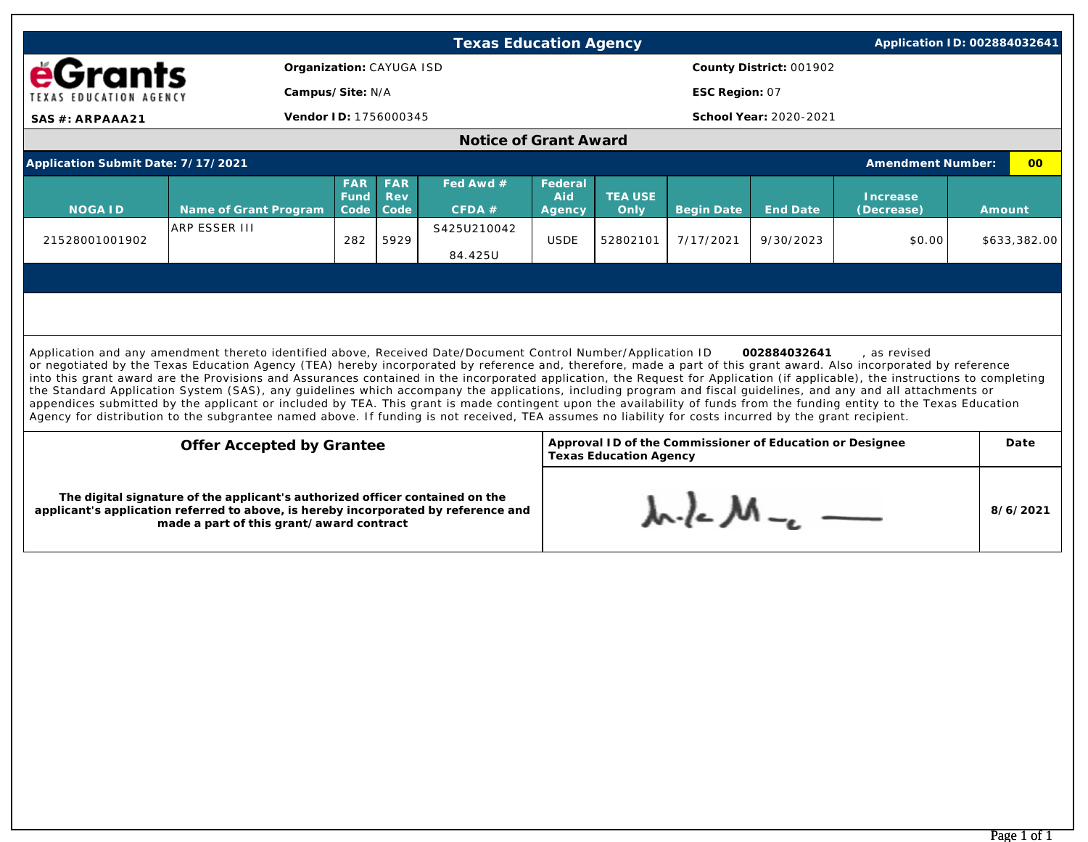|                                                                                                                                                                                                                                                                                                                                                                                                                                                                                                                                                                                                                                                                                                                                                                                                                                                                                                                                                                                                            |                       |                            |                                  | <b>Texas Education Agency</b> |                          |                                                                                           |                   |           | Application ID: 002884032641 |        |              |  |
|------------------------------------------------------------------------------------------------------------------------------------------------------------------------------------------------------------------------------------------------------------------------------------------------------------------------------------------------------------------------------------------------------------------------------------------------------------------------------------------------------------------------------------------------------------------------------------------------------------------------------------------------------------------------------------------------------------------------------------------------------------------------------------------------------------------------------------------------------------------------------------------------------------------------------------------------------------------------------------------------------------|-----------------------|----------------------------|----------------------------------|-------------------------------|--------------------------|-------------------------------------------------------------------------------------------|-------------------|-----------|------------------------------|--------|--------------|--|
| Organization: CAYUGA ISD<br><b>éGrants</b>                                                                                                                                                                                                                                                                                                                                                                                                                                                                                                                                                                                                                                                                                                                                                                                                                                                                                                                                                                 |                       |                            |                                  |                               |                          | County District: 001902                                                                   |                   |           |                              |        |              |  |
| TEXAS EDUCATION AGENCY                                                                                                                                                                                                                                                                                                                                                                                                                                                                                                                                                                                                                                                                                                                                                                                                                                                                                                                                                                                     |                       | Campus/Site: N/A           |                                  |                               |                          | ESC Region: 07                                                                            |                   |           |                              |        |              |  |
| Vendor ID: 1756000345<br>SAS #: ARPAAA21                                                                                                                                                                                                                                                                                                                                                                                                                                                                                                                                                                                                                                                                                                                                                                                                                                                                                                                                                                   |                       |                            |                                  |                               | School Year: 2020-2021   |                                                                                           |                   |           |                              |        |              |  |
| Notice of Grant Award                                                                                                                                                                                                                                                                                                                                                                                                                                                                                                                                                                                                                                                                                                                                                                                                                                                                                                                                                                                      |                       |                            |                                  |                               |                          |                                                                                           |                   |           |                              |        |              |  |
| Application Submit Date: 7/17/2021<br><b>Amendment Number:</b>                                                                                                                                                                                                                                                                                                                                                                                                                                                                                                                                                                                                                                                                                                                                                                                                                                                                                                                                             |                       |                            |                                  |                               |                          |                                                                                           |                   | 00        |                              |        |              |  |
| <b>NOGAID</b>                                                                                                                                                                                                                                                                                                                                                                                                                                                                                                                                                                                                                                                                                                                                                                                                                                                                                                                                                                                              | Name of Grant Program | <b>FAR</b><br>Fund<br>Code | <b>FAR</b><br><b>Rev</b><br>Code | Fed Awd #<br>CFDA#            | Federal<br>Aid<br>Agency | <b>TEA USE</b><br>Only                                                                    | <b>Begin Date</b> | End Date  | Increase<br>(Decrease)       | Amount |              |  |
| 21528001001902                                                                                                                                                                                                                                                                                                                                                                                                                                                                                                                                                                                                                                                                                                                                                                                                                                                                                                                                                                                             | <b>ARP ESSER III</b>  | 282                        | 5929                             | S425U210042<br>84.425U        | <b>USDE</b>              | 52802101                                                                                  | 7/17/2021         | 9/30/2023 | \$0.00                       |        | \$633,382.00 |  |
| Application and any amendment thereto identified above, Received Date/Document Control Number/Application ID<br>002884032641<br>, as revised<br>or negotiated by the Texas Education Agency (TEA) hereby incorporated by reference and, therefore, made a part of this grant award. Also incorporated by reference<br>into this grant award are the Provisions and Assurances contained in the incorporated application, the Request for Application (if applicable), the instructions to completing<br>the Standard Application System (SAS), any guidelines which accompany the applications, including program and fiscal guidelines, and any and all attachments or<br>appendices submitted by the applicant or included by TEA. This grant is made contingent upon the availability of funds from the funding entity to the Texas Education<br>Agency for distribution to the subgrantee named above. If funding is not received, TEA assumes no liability for costs incurred by the grant recipient. |                       |                            |                                  |                               |                          |                                                                                           |                   |           |                              |        |              |  |
| Offer Accepted by Grantee                                                                                                                                                                                                                                                                                                                                                                                                                                                                                                                                                                                                                                                                                                                                                                                                                                                                                                                                                                                  |                       |                            |                                  |                               |                          | Approval ID of the Commissioner of Education or Designee<br><b>Texas Education Agency</b> |                   |           |                              |        |              |  |
| The digital signature of the applicant's authorized officer contained on the<br>applicant's application referred to above, is hereby incorporated by reference and<br>made a part of this grant/award contract                                                                                                                                                                                                                                                                                                                                                                                                                                                                                                                                                                                                                                                                                                                                                                                             |                       |                            |                                  |                               |                          | $\lambda \sim$ $\lambda - \lambda \sim$                                                   |                   |           |                              |        | 8/6/2021     |  |
|                                                                                                                                                                                                                                                                                                                                                                                                                                                                                                                                                                                                                                                                                                                                                                                                                                                                                                                                                                                                            |                       |                            |                                  |                               |                          |                                                                                           |                   |           |                              |        |              |  |